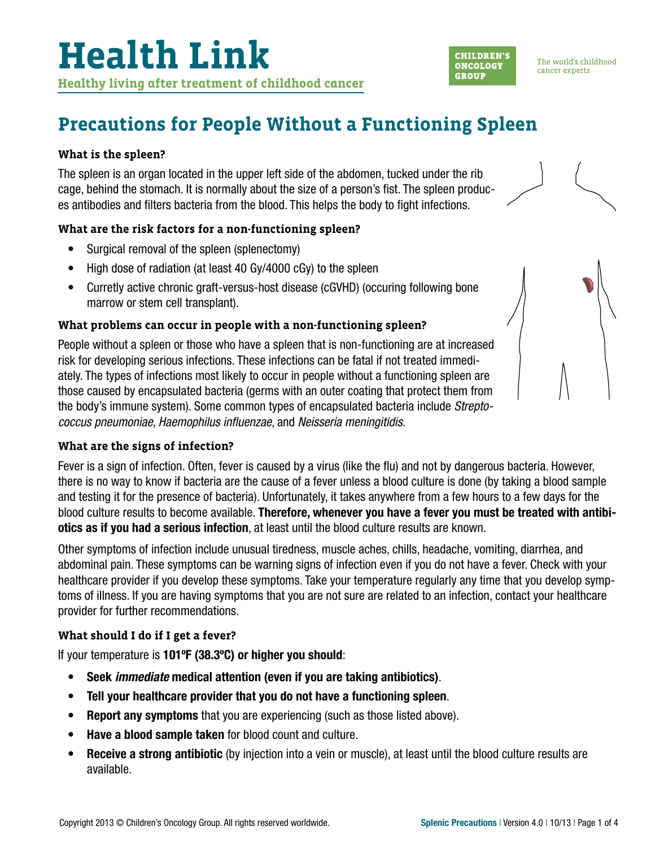### **Precautions for People Without a Functioning Spleen**

#### **What is the spleen?**

The spleen is an organ located in the upper left side of the abdomen, tucked under the rib cage, behind the stomach. It is normally about the size of a person's fist. The spleen produces antibodies and filters bacteria from the blood. This helps the body to fight infections.

### **What are the risk factors for a non-functioning spleen?**

- Surgical removal of the spleen (splenectomy)
- High dose of radiation (at least 40 Gy/4000 cGy) to the spleen
- Curretly active chronic graft-versus-host disease (cGVHD) (occuring following bone marrow or stem cell transplant).

#### **What problems can occur in people with a non-functioning spleen?**

People without a spleen or those who have a spleen that is non-functioning are at increased risk for developing serious infections. These infections can be fatal if not treated immediately. The types of infections most likely to occur in people without a functioning spleen are those caused by encapsulated bacteria (germs with an outer coating that protect them from the body's immune system). Some common types of encapsulated bacteria include *Streptococcus pneumoniae*, *Haemophilus influenzae*, and *Neisseria meningitidis*.

#### **What are the signs of infection?**

Fever is a sign of infection. Often, fever is caused by a virus (like the flu) and not by dangerous bacteria. However, there is no way to know if bacteria are the cause of a fever unless a blood culture is done (by taking a blood sample and testing it for the presence of bacteria). Unfortunately, it takes anywhere from a few hours to a few days for the blood culture results to become available. Therefore, whenever you have a fever you must be treated with antibiotics as if you had a serious infection, at least until the blood culture results are known.

Other symptoms of infection include unusual tiredness, muscle aches, chills, headache, vomiting, diarrhea, and abdominal pain. These symptoms can be warning signs of infection even if you do not have a fever. Check with your healthcare provider if you develop these symptoms. Take your temperature regularly any time that you develop symptoms of illness. If you are having symptoms that you are not sure are related to an infection, contact your healthcare provider for further recommendations.

### **What should I do if I get a fever?**

If your temperature is 101ºF (38.3ºC) or higher you should:

- Seek *immediate* medical attention (even if you are taking antibiotics).
- Tell your healthcare provider that you do not have a functioning spleen.
- Report any symptoms that you are experiencing (such as those listed above).
- Have a blood sample taken for blood count and culture.
- Receive a strong antibiotic (by injection into a vein or muscle), at least until the blood culture results are available.

**CHILDREN'S** 

**ONCOLOGY** 

**GROUP** 

The world's childhood

cancer experts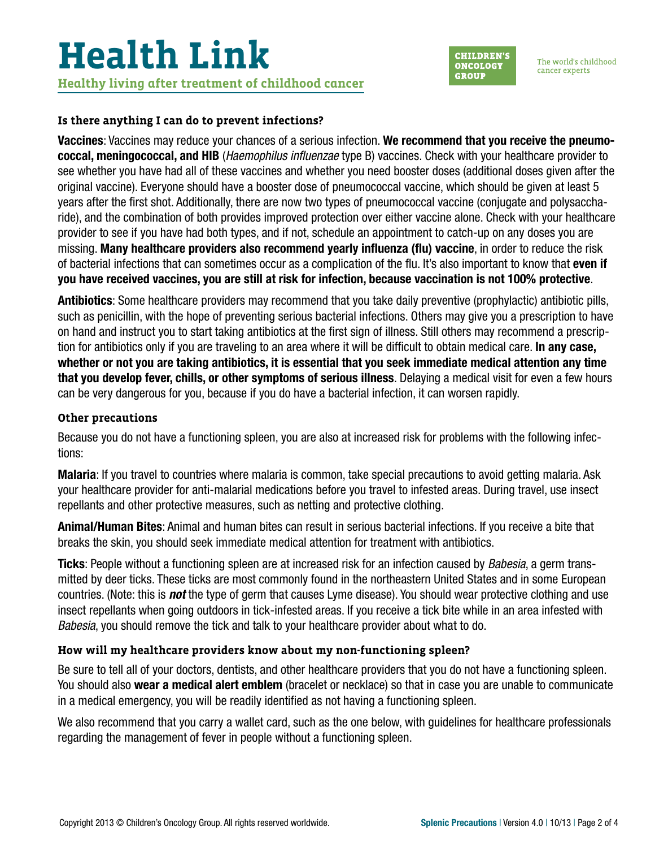# **Health Link Healthy living after treatment of childhood cancer**

**CHILDREN'S ONCOLOGY GROUP** 

The world's childhood cancer experts

#### **Is there anything I can do to prevent infections?**

Vaccines: Vaccines may reduce your chances of a serious infection. We recommend that you receive the pneumococcal, meningococcal, and HIB (*Haemophilus influenzae* type B) vaccines. Check with your healthcare provider to see whether you have had all of these vaccines and whether you need booster doses (additional doses given after the original vaccine). Everyone should have a booster dose of pneumococcal vaccine, which should be given at least 5 years after the first shot. Additionally, there are now two types of pneumococcal vaccine (conjugate and polysaccharide), and the combination of both provides improved protection over either vaccine alone. Check with your healthcare provider to see if you have had both types, and if not, schedule an appointment to catch-up on any doses you are missing. Many healthcare providers also recommend yearly influenza (flu) vaccine, in order to reduce the risk of bacterial infections that can sometimes occur as a complication of the flu. It's also important to know that even if you have received vaccines, you are still at risk for infection, because vaccination is not 100% protective.

Antibiotics: Some healthcare providers may recommend that you take daily preventive (prophylactic) antibiotic pills, such as penicillin, with the hope of preventing serious bacterial infections. Others may give you a prescription to have on hand and instruct you to start taking antibiotics at the first sign of illness. Still others may recommend a prescription for antibiotics only if you are traveling to an area where it will be difficult to obtain medical care. In any case, whether or not you are taking antibiotics, it is essential that you seek immediate medical attention any time that you develop fever, chills, or other symptoms of serious illness. Delaying a medical visit for even a few hours can be very dangerous for you, because if you do have a bacterial infection, it can worsen rapidly.

#### **Other precautions**

Because you do not have a functioning spleen, you are also at increased risk for problems with the following infections:

Malaria: If you travel to countries where malaria is common, take special precautions to avoid getting malaria. Ask your healthcare provider for anti-malarial medications before you travel to infested areas. During travel, use insect repellants and other protective measures, such as netting and protective clothing.

Animal/Human Bites: Animal and human bites can result in serious bacterial infections. If you receive a bite that breaks the skin, you should seek immediate medical attention for treatment with antibiotics.

Ticks: People without a functioning spleen are at increased risk for an infection caused by *Babesia*, a germ transmitted by deer ticks. These ticks are most commonly found in the northeastern United States and in some European countries. (Note: this is *not* the type of germ that causes Lyme disease). You should wear protective clothing and use insect repellants when going outdoors in tick-infested areas. If you receive a tick bite while in an area infested with *Babesia*, you should remove the tick and talk to your healthcare provider about what to do.

### **How will my healthcare providers know about my non-functioning spleen?**

Be sure to tell all of your doctors, dentists, and other healthcare providers that you do not have a functioning spleen. You should also wear a medical alert emblem (bracelet or necklace) so that in case you are unable to communicate in a medical emergency, you will be readily identified as not having a functioning spleen.

We also recommend that you carry a wallet card, such as the one below, with guidelines for healthcare professionals regarding the management of fever in people without a functioning spleen.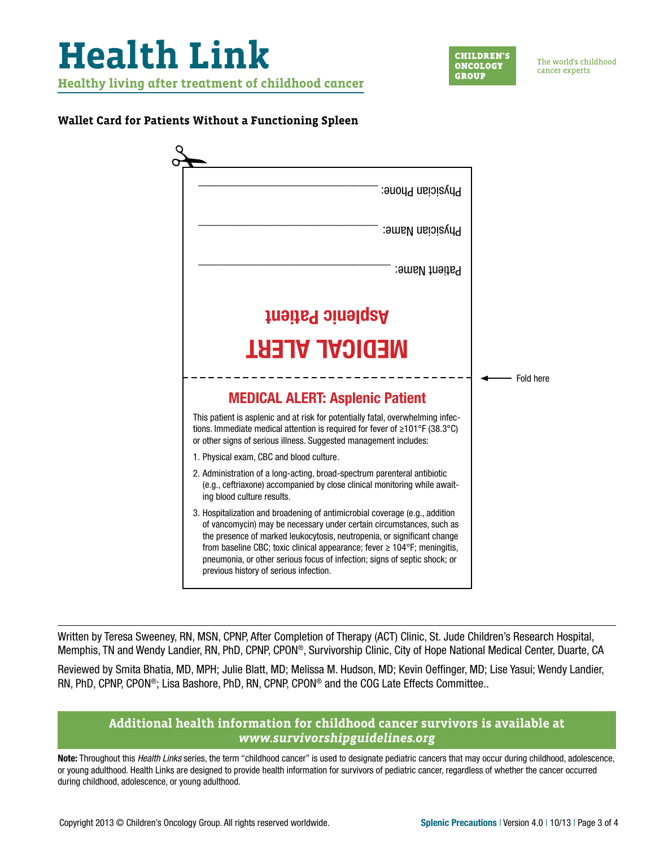

#### **Wallet Card for Patients Without a Functioning Spleen**



Written by Teresa Sweeney, RN, MSN, CPNP, After Completion of Therapy (ACT) Clinic, St. Jude Children's Research Hospital, Memphis, TN and Wendy Landier, RN, PhD, CPNP, CPON®, Survivorship Clinic, City of Hope National Medical Center, Duarte, CA

Reviewed by Smita Bhatia, MD, MPH; Julie Blatt, MD; Melissa M. Hudson, MD; Kevin Oeffinger, MD; Lise Yasui; Wendy Landier, RN, PhD, CPNP, CPON®; Lisa Bashore, PhD, RN, CPNP, CPON® and the COG Late Effects Committee..

### **Additional health information for childhood cancer survivors is available at**  *[www.survivorshipguidelines.org](http://www.survivorshipguidelines.org)*

Note: Throughout this *Health Links* series, the term "childhood cancer" is used to designate pediatric cancers that may occur during childhood, adolescence, or young adulthood. Health Links are designed to provide health information for survivors of pediatric cancer, regardless of whether the cancer occurred during childhood, adolescence, or young adulthood.